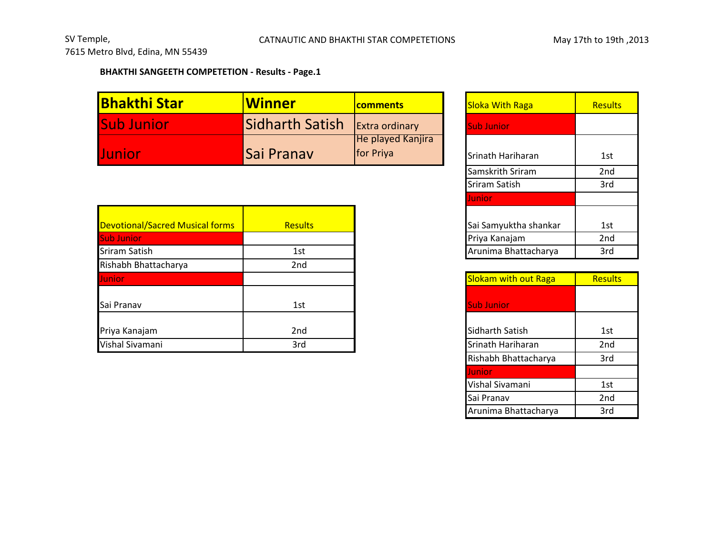## **BHAKTHI SANGEETH COMPETETION - Results - Page.1**

| <b>Bhakthi Star</b> | <b>Winner</b>     | <b>comments</b>                | <b>Sloka With Raga</b> | Results |
|---------------------|-------------------|--------------------------------|------------------------|---------|
| <b>Sub Junior</b>   | Sidharth Satish   | Extra ordinary                 | <b>Sub Junior</b>      |         |
| <b>Uunior</b>       | <b>Sai Pranav</b> | He played Kanjira<br>for Priya | Srinath Hariharan      | 1st     |

| <b>Devotional/Sacred Musical forms</b> | <b>Results</b>  |
|----------------------------------------|-----------------|
| Sub Junior                             |                 |
| <b>Sriram Satish</b>                   | 1st             |
| Rishabh Bhattacharya                   | 2 <sub>nd</sub> |
| Junior                                 |                 |
| Sai Pranav                             | 1st             |
| Priya Kanajam                          | 2nd             |
| Vishal Sivamani                        | 3rd             |
|                                        |                 |

| comments                       | <b>Sloka With Raga</b> | <b>Results</b>  |
|--------------------------------|------------------------|-----------------|
| Extra ordinary                 | <b>Sub Junior</b>      |                 |
| He played Kanjira<br>for Priya | Srinath Hariharan      | 1st             |
|                                | Samskrith Sriram       | 2 <sub>nd</sub> |
|                                | Sriram Satish          | 3rd             |
|                                | Junior                 |                 |
|                                | Sai Samyuktha shankar  | 1st             |
|                                | Priya Kanajam          | 2 <sub>nd</sub> |
|                                | Arunima Bhattacharya   | 3rd             |

| <b>Slokam with out Raga</b> | <b>Results</b>  |
|-----------------------------|-----------------|
|                             |                 |
| <b>Sub Junior</b>           |                 |
|                             |                 |
| Sidharth Satish             | 1st             |
| Srinath Hariharan           | 2 <sub>nd</sub> |
| Rishabh Bhattacharya        | 3rd             |
| Junior                      |                 |
| Vishal Sivamani             | 1st             |
| Sai Pranav                  | 2 <sub>nd</sub> |
| Arunima Bhattacharya        | 3rd             |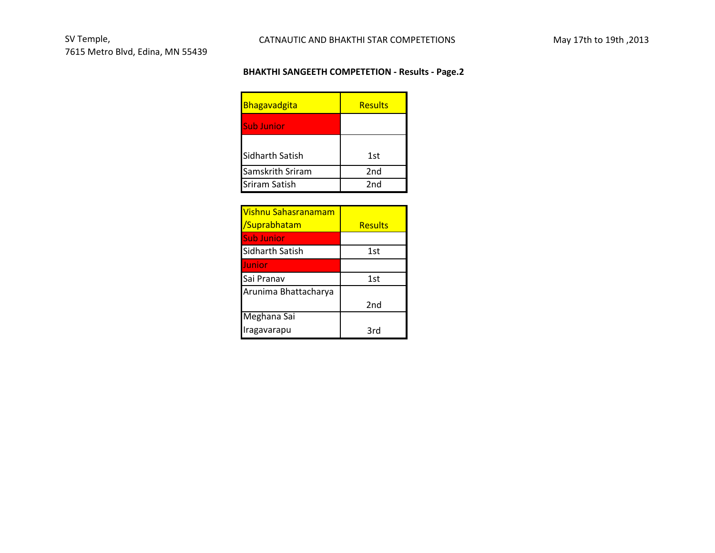## **BHAKTHI SANGEETH COMPETETION - Results - Page.2**

| Bhagavadgita         | <b>Results</b>  |
|----------------------|-----------------|
| <b>Sub Junior</b>    |                 |
| Sidharth Satish      | 1st             |
| Samskrith Sriram     | 2 <sub>nd</sub> |
| <b>Sriram Satish</b> | 2nd             |

| <u>Vishnu Sahasranamam</u> |                |
|----------------------------|----------------|
| /Suprabhatam               | <b>Results</b> |
| <b>Sub Junior</b>          |                |
| Sidharth Satish            | 1st            |
| Junior                     |                |
| Sai Pranav                 | 1st            |
| Arunima Bhattacharya       |                |
|                            | 2nd            |
| Meghana Sai                |                |
| Iragavarapu                | 3rd            |